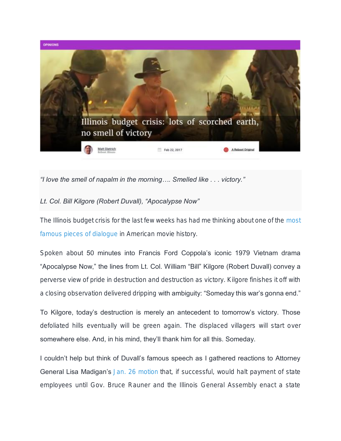

*"I love the smell of napalm in the morning…. Smelled like . . . victory."*

## *Lt. Col. Bill Kilgore (Robert Duvall), "Apocalypse Now"*

The Illinois budget crisis for the last few weeks has had me thinking about one of the [most](https://en.wikipedia.org/wiki/AFI%27s_100_Years...100_Movie_Quotes)  [famous](https://en.wikipedia.org/wiki/AFI%27s_100_Years...100_Movie_Quotes) [pieces of dialogue](https://en.wikipedia.org/wiki/AFI%27s_100_Years...100_Movie_Quotes) in American movie history.

Spoken about 50 minutes into Francis Ford Coppola's iconic 1979 Vietnam drama "Apocalypse Now," the lines from Lt. Col. William "Bill" Kilgore (Robert Duvall) convey a perverse view of pride in destruction and destruction as victory. Kilgore finishes it off with a closing observation delivered dripping with ambiguity: "Someday this war's gonna end."

To Kilgore, today's destruction is merely an antecedent to tomorrow's victory. Those defoliated hills eventually will be green again. The displaced villagers will start over somewhere else. And, in his mind, they'll thank him for all this. Someday.

I couldn't help but think of Duvall's famous speech as I gathered reactions to Attorney General Lisa Madigan's [Jan. 26 motion](https://www.google.com/url?sa=t&rct=j&q=&esrc=s&source=web&cd=2&cad=rja&uact=8&ved=0ahUKEwjmxZGfvqLSAhVE4YMKHb5EA9AQFgggMAE&url=https%3A%2F%2Frebootillinois.com%2F2017%2F01%2F26%2Flisa-madigan-sues-halt-paychecks-state-budget%2F&usg=AFQjCNFBcjPeNK1oVbHtjetyCNJeAqLr4Q&bvm=bv.147448319,d.amc) that, if successful, would halt payment of state employees until Gov. Bruce Rauner and the Illinois General Assembly enact a state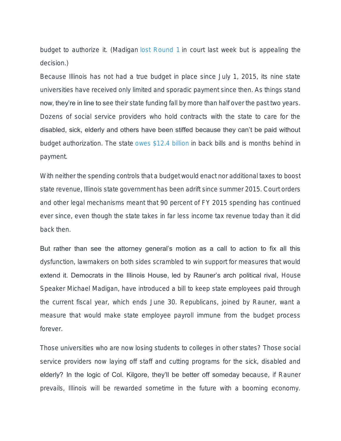budget to authorize it. (Madigan [lost Round 1](https://www.google.com/url?sa=t&rct=j&q=&esrc=s&source=web&cd=1&cad=rja&uact=8&ved=0ahUKEwjmxZGfvqLSAhVE4YMKHb5EA9AQFggaMAA&url=https%3A%2F%2Frebootillinois.com%2F2017%2F02%2F16%2Fjudge-denies-lisa-madigans-motion-on-state-worker-pay%2F&usg=AFQjCNGI-hJud4S3l-_YWv3yisB7f5Tx8g&bvm=bv.147448319,d.amc) in court last week but is appealing the decision.)

Because Illinois has not had a true budget in place since July 1, 2015, its nine state universities have received only limited and sporadic payment since then. As things stand now, they're in line to see their state funding fall by more than half over the past two years. Dozens of social service providers who hold contracts with the state to care for the disabled, sick, elderly and others have been stiffed because they can't be paid without budget authorization. The state [owes \\$12.4 billion](http://ledger.illinoiscomptroller.com/) in back bills and is months behind in payment.

With neither the spending controls that a budget would enact nor additional taxes to boost state revenue, Illinois state government has been adrift since summer 2015. Court orders and other legal mechanisms meant that 90 percent of FY 2015 spending has continued ever since, even though the state takes in far less income tax revenue today than it did back then.

But rather than see the attorney general's motion as a call to action to fix all this dysfunction, lawmakers on both sides scrambled to win support for measures that would extend it. Democrats in the Illinois House, led by Rauner's arch political rival, House Speaker Michael Madigan, have introduced a bill to keep state employees paid through the current fiscal year, which ends June 30. Republicans, joined by Rauner, want a measure that would make state employee payroll immune from the budget process forever.

Those universities who are now losing students to colleges in other states? Those social service providers now laying off staff and cutting programs for the sick, disabled and elderly? In the logic of Col. Kilgore, they'll be better off someday because, if Rauner prevails, Illinois will be rewarded sometime in the future with a booming economy.